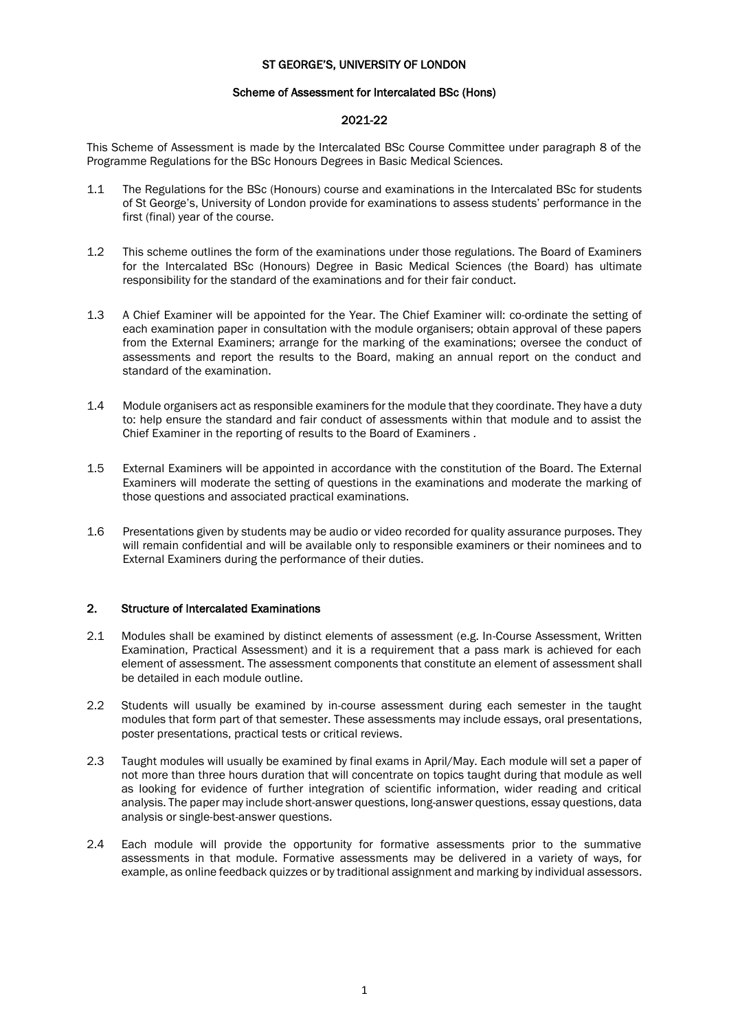#### ST GEORGE'S, UNIVERSITY OF LONDON

#### Scheme of Assessment for Intercalated BSc (Hons)

# 2021-22

This Scheme of Assessment is made by the Intercalated BSc Course Committee under paragraph 8 of the Programme Regulations for the BSc Honours Degrees in Basic Medical Sciences.

- 1.1 The Regulations for the BSc (Honours) course and examinations in the Intercalated BSc for students of St George's, University of London provide for examinations to assess students' performance in the first (final) year of the course.
- 1.2 This scheme outlines the form of the examinations under those regulations. The Board of Examiners for the Intercalated BSc (Honours) Degree in Basic Medical Sciences (the Board) has ultimate responsibility for the standard of the examinations and for their fair conduct.
- 1.3 A Chief Examiner will be appointed for the Year. The Chief Examiner will: co-ordinate the setting of each examination paper in consultation with the module organisers; obtain approval of these papers from the External Examiners; arrange for the marking of the examinations; oversee the conduct of assessments and report the results to the Board, making an annual report on the conduct and standard of the examination.
- 1.4 Module organisers act as responsible examiners for the module that they coordinate. They have a duty to: help ensure the standard and fair conduct of assessments within that module and to assist the Chief Examiner in the reporting of results to the Board of Examiners .
- 1.5 External Examiners will be appointed in accordance with the constitution of the Board. The External Examiners will moderate the setting of questions in the examinations and moderate the marking of those questions and associated practical examinations.
- 1.6 Presentations given by students may be audio or video recorded for quality assurance purposes. They will remain confidential and will be available only to responsible examiners or their nominees and to External Examiners during the performance of their duties.

### 2. Structure of Intercalated Examinations

- 2.1 Modules shall be examined by distinct elements of assessment (e.g. In-Course Assessment, Written Examination, Practical Assessment) and it is a requirement that a pass mark is achieved for each element of assessment. The assessment components that constitute an element of assessment shall be detailed in each module outline.
- 2.2 Students will usually be examined by in-course assessment during each semester in the taught modules that form part of that semester. These assessments may include essays, oral presentations, poster presentations, practical tests or critical reviews.
- 2.3 Taught modules will usually be examined by final exams in April/May. Each module will set a paper of not more than three hours duration that will concentrate on topics taught during that module as well as looking for evidence of further integration of scientific information, wider reading and critical analysis. The paper may include short-answer questions, long-answer questions, essay questions, data analysis or single-best-answer questions.
- 2.4 Each module will provide the opportunity for formative assessments prior to the summative assessments in that module. Formative assessments may be delivered in a variety of ways, for example, as online feedback quizzes or by traditional assignment and marking by individual assessors.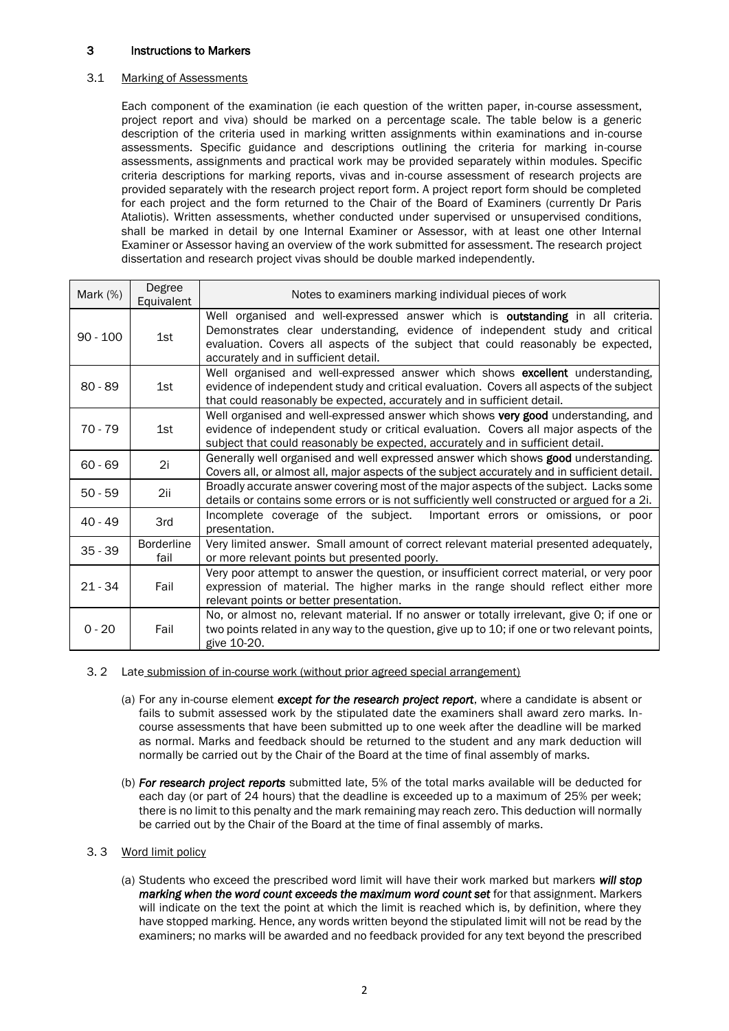# 3 Instructions to Markers

# 3.1 Marking of Assessments

Each component of the examination (ie each question of the written paper, in-course assessment, project report and viva) should be marked on a percentage scale. The table below is a generic description of the criteria used in marking written assignments within examinations and in-course assessments. Specific guidance and descriptions outlining the criteria for marking in-course assessments, assignments and practical work may be provided separately within modules. Specific criteria descriptions for marking reports, vivas and in-course assessment of research projects are provided separately with the research project report form. A project report form should be completed for each project and the form returned to the Chair of the Board of Examiners (currently Dr Paris Ataliotis). Written assessments, whether conducted under supervised or unsupervised conditions, shall be marked in detail by one Internal Examiner or Assessor, with at least one other Internal Examiner or Assessor having an overview of the work submitted for assessment. The research project dissertation and research project vivas should be double marked independently.

| Mark $(%)$ | Degree<br>Equivalent      | Notes to examiners marking individual pieces of work                                                                                                                                                                                                                                       |  |  |
|------------|---------------------------|--------------------------------------------------------------------------------------------------------------------------------------------------------------------------------------------------------------------------------------------------------------------------------------------|--|--|
| $90 - 100$ | 1st                       | Well organised and well-expressed answer which is outstanding in all criteria.<br>Demonstrates clear understanding, evidence of independent study and critical<br>evaluation. Covers all aspects of the subject that could reasonably be expected,<br>accurately and in sufficient detail. |  |  |
| $80 - 89$  | 1st                       | Well organised and well-expressed answer which shows excellent understanding,<br>evidence of independent study and critical evaluation. Covers all aspects of the subject<br>that could reasonably be expected, accurately and in sufficient detail.                                       |  |  |
| $70 - 79$  | 1st                       | Well organised and well-expressed answer which shows very good understanding, and<br>evidence of independent study or critical evaluation. Covers all major aspects of the<br>subject that could reasonably be expected, accurately and in sufficient detail.                              |  |  |
| $60 - 69$  | 2i                        | Generally well organised and well expressed answer which shows good understanding.<br>Covers all, or almost all, major aspects of the subject accurately and in sufficient detail.                                                                                                         |  |  |
| $50 - 59$  | 2ii                       | Broadly accurate answer covering most of the major aspects of the subject. Lacks some<br>details or contains some errors or is not sufficiently well constructed or argued for a 2i.                                                                                                       |  |  |
| $40 - 49$  | 3rd                       | Incomplete coverage of the subject.<br>Important errors or omissions, or poor<br>presentation.                                                                                                                                                                                             |  |  |
| $35 - 39$  | <b>Borderline</b><br>fail | Very limited answer. Small amount of correct relevant material presented adequately,<br>or more relevant points but presented poorly.                                                                                                                                                      |  |  |
| $21 - 34$  | Fail                      | Very poor attempt to answer the question, or insufficient correct material, or very poor<br>expression of material. The higher marks in the range should reflect either more<br>relevant points or better presentation.                                                                    |  |  |
| $0 - 20$   | Fail                      | No, or almost no, relevant material. If no answer or totally irrelevant, give O; if one or<br>two points related in any way to the question, give up to 10; if one or two relevant points,<br>give 10-20.                                                                                  |  |  |

### 3. 2 Late submission of in-course work (without prior agreed special arrangement)

- (a) For any in-course element *except for the research project report*, where a candidate is absent or fails to submit assessed work by the stipulated date the examiners shall award zero marks. Incourse assessments that have been submitted up to one week after the deadline will be marked as normal. Marks and feedback should be returned to the student and any mark deduction will normally be carried out by the Chair of the Board at the time of final assembly of marks.
- (b) *For research project reports* submitted late, 5% of the total marks available will be deducted for each day (or part of 24 hours) that the deadline is exceeded up to a maximum of 25% per week; there is no limit to this penalty and the mark remaining may reach zero. This deduction will normally be carried out by the Chair of the Board at the time of final assembly of marks.

## 3. 3 Word limit policy

(a) Students who exceed the prescribed word limit will have their work marked but markers *will stop marking when the word count exceeds the maximum word count set* for that assignment. Markers will indicate on the text the point at which the limit is reached which is, by definition, where they have stopped marking. Hence, any words written beyond the stipulated limit will not be read by the examiners; no marks will be awarded and no feedback provided for any text beyond the prescribed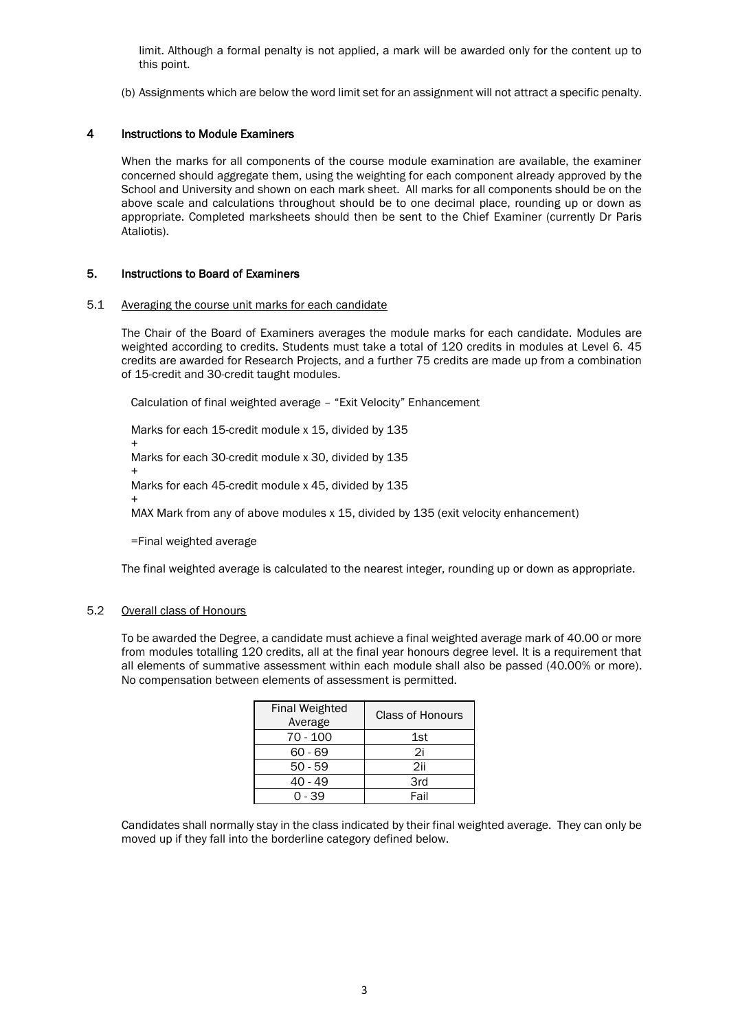limit. Although a formal penalty is not applied, a mark will be awarded only for the content up to this point.

(b) Assignments which are below the word limit set for an assignment will not attract a specific penalty.

## 4 Instructions to Module Examiners

When the marks for all components of the course module examination are available, the examiner concerned should aggregate them, using the weighting for each component already approved by the School and University and shown on each mark sheet. All marks for all components should be on the above scale and calculations throughout should be to one decimal place, rounding up or down as appropriate. Completed marksheets should then be sent to the Chief Examiner (currently Dr Paris Ataliotis).

### 5. Instructions to Board of Examiners

#### 5.1 Averaging the course unit marks for each candidate

The Chair of the Board of Examiners averages the module marks for each candidate. Modules are weighted according to credits. Students must take a total of 120 credits in modules at Level 6. 45 credits are awarded for Research Projects, and a further 75 credits are made up from a combination of 15-credit and 30-credit taught modules.

Calculation of final weighted average – "Exit Velocity" Enhancement

Marks for each 15-credit module x 15, divided by 135 + Marks for each 30-credit module x 30, divided by 135 + Marks for each 45-credit module x 45, divided by 135 +

MAX Mark from any of above modules x 15, divided by 135 (exit velocity enhancement)

=Final weighted average

The final weighted average is calculated to the nearest integer, rounding up or down as appropriate.

## 5.2 Overall class of Honours

To be awarded the Degree, a candidate must achieve a final weighted average mark of 40.00 or more from modules totalling 120 credits, all at the final year honours degree level. It is a requirement that all elements of summative assessment within each module shall also be passed (40.00% or more). No compensation between elements of assessment is permitted.

| <b>Final Weighted</b><br>Average | <b>Class of Honours</b> |
|----------------------------------|-------------------------|
| 70 - 100                         | 1st                     |
| $60 - 69$                        | 2i                      |
| $50 - 59$                        | 2ii                     |
| 40 - 49                          | 3rd                     |
| በ - 39                           | Fail                    |

Candidates shall normally stay in the class indicated by their final weighted average. They can only be moved up if they fall into the borderline category defined below.